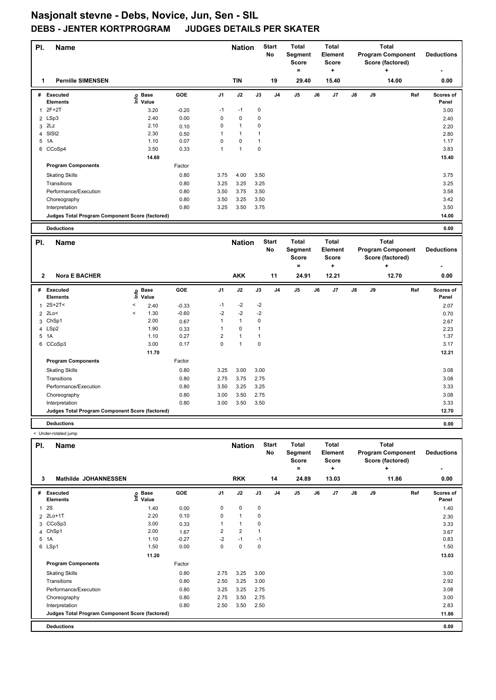| PI.            | <b>Name</b>                                     |                                  |         |                | <b>Nation</b> |              | <b>Start</b><br>No | <b>Total</b><br>Segment<br><b>Score</b><br>$=$ |    | <b>Total</b><br>Element<br><b>Score</b><br>$\ddot{}$ |    |    | <b>Total</b><br><b>Program Component</b><br>Score (factored)<br>٠ |     | <b>Deductions</b>  |
|----------------|-------------------------------------------------|----------------------------------|---------|----------------|---------------|--------------|--------------------|------------------------------------------------|----|------------------------------------------------------|----|----|-------------------------------------------------------------------|-----|--------------------|
| 1              | <b>Pernille SIMENSEN</b>                        |                                  |         |                | <b>TIN</b>    |              | 19                 | 29.40                                          |    | 15.40                                                |    |    | 14.00                                                             |     | 0.00               |
|                | # Executed<br><b>Elements</b>                   | e Base<br>⊆ Value                | GOE     | J <sub>1</sub> | J2            | J3           | J <sub>4</sub>     | J5                                             | J6 | J7                                                   | J8 | J9 |                                                                   | Ref | Scores of<br>Panel |
| 1              | $2F+2T$                                         | 3.20                             | $-0.20$ | $-1$           | $-1$          | $\pmb{0}$    |                    |                                                |    |                                                      |    |    |                                                                   |     | 3.00               |
| $\overline{2}$ | LSp3                                            | 2.40                             | 0.00    | $\pmb{0}$      | 0             | 0            |                    |                                                |    |                                                      |    |    |                                                                   |     | 2.40               |
|                | $3$ $2Lz$                                       | 2.10                             | 0.10    | 0              | $\mathbf{1}$  | 0            |                    |                                                |    |                                                      |    |    |                                                                   |     | 2.20               |
| 4              | SISt <sub>2</sub>                               | 2.30                             | 0.50    | $\mathbf{1}$   | $\mathbf{1}$  | $\mathbf{1}$ |                    |                                                |    |                                                      |    |    |                                                                   |     | 2.80               |
|                | 5 1A                                            | 1.10                             | 0.07    | 0              | 0             | $\mathbf{1}$ |                    |                                                |    |                                                      |    |    |                                                                   |     | 1.17               |
|                | 6 CCoSp4                                        | 3.50                             | 0.33    | 1              | $\mathbf{1}$  | $\mathbf 0$  |                    |                                                |    |                                                      |    |    |                                                                   |     | 3.83               |
|                |                                                 | 14.60                            |         |                |               |              |                    |                                                |    |                                                      |    |    |                                                                   |     | 15.40              |
|                | <b>Program Components</b>                       |                                  | Factor  |                |               |              |                    |                                                |    |                                                      |    |    |                                                                   |     |                    |
|                | <b>Skating Skills</b>                           |                                  | 0.80    | 3.75           | 4.00          | 3.50         |                    |                                                |    |                                                      |    |    |                                                                   |     | 3.75               |
|                | Transitions                                     |                                  | 0.80    | 3.25           | 3.25          | 3.25         |                    |                                                |    |                                                      |    |    |                                                                   |     | 3.25               |
|                | Performance/Execution                           |                                  | 0.80    | 3.50           | 3.75          | 3.50         |                    |                                                |    |                                                      |    |    |                                                                   |     | 3.58               |
|                | Choreography                                    |                                  | 0.80    | 3.50           | 3.25          | 3.50         |                    |                                                |    |                                                      |    |    |                                                                   |     | 3.42               |
|                | Interpretation                                  |                                  | 0.80    | 3.25           | 3.50          | 3.75         |                    |                                                |    |                                                      |    |    |                                                                   |     | 3.50               |
|                | Judges Total Program Component Score (factored) |                                  |         |                |               |              |                    |                                                |    |                                                      |    |    |                                                                   |     | 14.00              |
|                |                                                 |                                  |         |                |               |              |                    |                                                |    |                                                      |    |    |                                                                   |     |                    |
|                | <b>Deductions</b>                               |                                  |         |                |               |              |                    |                                                |    |                                                      |    |    |                                                                   |     | 0.00               |
| PI.            |                                                 |                                  |         |                |               |              |                    |                                                |    |                                                      |    |    |                                                                   |     |                    |
|                | <b>Name</b>                                     |                                  |         |                | <b>Nation</b> |              | <b>Start</b><br>No | <b>Total</b><br>Segment<br><b>Score</b>        |    | <b>Total</b><br><b>Element</b><br><b>Score</b>       |    |    | <b>Total</b><br><b>Program Component</b><br>Score (factored)      |     | <b>Deductions</b>  |
|                |                                                 |                                  |         |                |               |              |                    | $=$                                            |    | ÷                                                    |    |    |                                                                   |     |                    |
| $\mathbf{2}$   | <b>Nora E BACHER</b>                            |                                  |         |                | <b>AKK</b>    |              | 11                 | 24.91                                          |    | 12.21                                                |    |    | 12.70                                                             |     | 0.00               |
| #              | Executed<br>Elements                            | <b>Base</b><br>١nf٥<br>Value     | GOE     | J <sub>1</sub> | J2            | J3           | J <sub>4</sub>     | J5                                             | J6 | J7                                                   | J8 | J9 |                                                                   | Ref | Scores of<br>Panel |
| $\mathbf{1}$   | $2S+2T<$                                        | $\overline{\phantom{a}}$<br>2.40 | $-0.33$ | $-1$           | $-2$          | $-2$         |                    |                                                |    |                                                      |    |    |                                                                   |     | 2.07               |
| $\overline{2}$ | 2Lo<                                            | 1.30<br>$\,<$                    | $-0.60$ | $-2$           | $-2$          | $-2$         |                    |                                                |    |                                                      |    |    |                                                                   |     | 0.70               |
| 3              | ChSp1                                           | 2.00                             | 0.67    | 1              | $\mathbf{1}$  | $\pmb{0}$    |                    |                                                |    |                                                      |    |    |                                                                   |     | 2.67               |
|                | 4 LSp2                                          | 1.90                             | 0.33    | 1              | 0             | $\mathbf{1}$ |                    |                                                |    |                                                      |    |    |                                                                   |     | 2.23               |
|                | 5 1A                                            | 1.10                             | 0.27    | 2              | 1             | $\mathbf{1}$ |                    |                                                |    |                                                      |    |    |                                                                   |     | 1.37               |
|                | 6 CCoSp3                                        | 3.00                             | 0.17    | 0              | $\mathbf{1}$  | $\mathbf 0$  |                    |                                                |    |                                                      |    |    |                                                                   |     | 3.17               |
|                |                                                 | 11.70                            |         |                |               |              |                    |                                                |    |                                                      |    |    |                                                                   |     | 12.21              |
|                | <b>Program Components</b>                       |                                  | Factor  |                |               |              |                    |                                                |    |                                                      |    |    |                                                                   |     |                    |
|                | <b>Skating Skills</b>                           |                                  | 0.80    | 3.25           | 3.00          | 3.00         |                    |                                                |    |                                                      |    |    |                                                                   |     | 3.08               |
|                | Transitions                                     |                                  | 0.80    | 2.75           | 3.75          | 2.75         |                    |                                                |    |                                                      |    |    |                                                                   |     | 3.08               |
|                | Performance/Execution                           |                                  | 0.80    | 3.50           | 3.25          | 3.25         |                    |                                                |    |                                                      |    |    |                                                                   |     | 3.33               |
|                | Choreography                                    |                                  | 0.80    | 3.00           | 3.50          | 2.75         |                    |                                                |    |                                                      |    |    |                                                                   |     | 3.08               |
|                | Interpretation                                  |                                  | 0.80    | 3.00           | 3.50          | 3.50         |                    |                                                |    |                                                      |    |    |                                                                   |     | 3.33               |

**Deductions 0.00** < Under-rotated jump

| PI.          | <b>Name</b>                                     |                            |         |      | <b>Nation</b>  |      | <b>Start</b><br>No | <b>Total</b><br>Segment<br><b>Score</b><br>$=$ |    | <b>Total</b><br>Element<br><b>Score</b><br>٠ |    |    | <b>Total</b><br><b>Program Component</b><br>Score (factored)<br>٠ | <b>Deductions</b>  |
|--------------|-------------------------------------------------|----------------------------|---------|------|----------------|------|--------------------|------------------------------------------------|----|----------------------------------------------|----|----|-------------------------------------------------------------------|--------------------|
| 3            | <b>Mathilde JOHANNESSEN</b>                     |                            |         |      | <b>RKK</b>     |      | 14                 | 24.89                                          |    | 13.03                                        |    |    | 11.86                                                             | 0.00               |
| #            | <b>Executed</b><br><b>Elements</b>              | e Base<br>⊆ Value<br>Value | GOE     | J1   | J2             | J3   | J <sub>4</sub>     | J <sub>5</sub>                                 | J6 | J <sub>7</sub>                               | J8 | J9 | Ref                                                               | Scores of<br>Panel |
| $\mathbf{1}$ | 2S                                              | 1.40                       | 0.00    | 0    | $\mathbf 0$    | 0    |                    |                                                |    |                                              |    |    |                                                                   | 1.40               |
|              | 2 2Lo+1T                                        | 2.20                       | 0.10    | 0    | $\mathbf{1}$   | 0    |                    |                                                |    |                                              |    |    |                                                                   | 2.30               |
|              | 3 CCoSp3                                        | 3.00                       | 0.33    |      | 1              | 0    |                    |                                                |    |                                              |    |    |                                                                   | 3.33               |
|              | 4 ChSp1                                         | 2.00                       | 1.67    | 2    | $\overline{2}$ |      |                    |                                                |    |                                              |    |    |                                                                   | 3.67               |
|              | 5 1A                                            | 1.10                       | $-0.27$ | $-2$ | $-1$           | $-1$ |                    |                                                |    |                                              |    |    |                                                                   | 0.83               |
|              | 6 LSp1                                          | 1.50                       | 0.00    | 0    | 0              | 0    |                    |                                                |    |                                              |    |    |                                                                   | 1.50               |
|              |                                                 | 11.20                      |         |      |                |      |                    |                                                |    |                                              |    |    |                                                                   | 13.03              |
|              | <b>Program Components</b>                       |                            | Factor  |      |                |      |                    |                                                |    |                                              |    |    |                                                                   |                    |
|              | <b>Skating Skills</b>                           |                            | 0.80    | 2.75 | 3.25           | 3.00 |                    |                                                |    |                                              |    |    |                                                                   | 3.00               |
|              | Transitions                                     |                            | 0.80    | 2.50 | 3.25           | 3.00 |                    |                                                |    |                                              |    |    |                                                                   | 2.92               |
|              | Performance/Execution                           |                            | 0.80    | 3.25 | 3.25           | 2.75 |                    |                                                |    |                                              |    |    |                                                                   | 3.08               |
|              | Choreography                                    |                            | 0.80    | 2.75 | 3.50           | 2.75 |                    |                                                |    |                                              |    |    |                                                                   | 3.00               |
|              | Interpretation                                  |                            | 0.80    | 2.50 | 3.50           | 2.50 |                    |                                                |    |                                              |    |    |                                                                   | 2.83               |
|              | Judges Total Program Component Score (factored) |                            |         |      |                |      |                    |                                                |    |                                              |    |    |                                                                   | 11.86              |
|              | <b>Deductions</b>                               |                            |         |      |                |      |                    |                                                |    |                                              |    |    |                                                                   | 0.00               |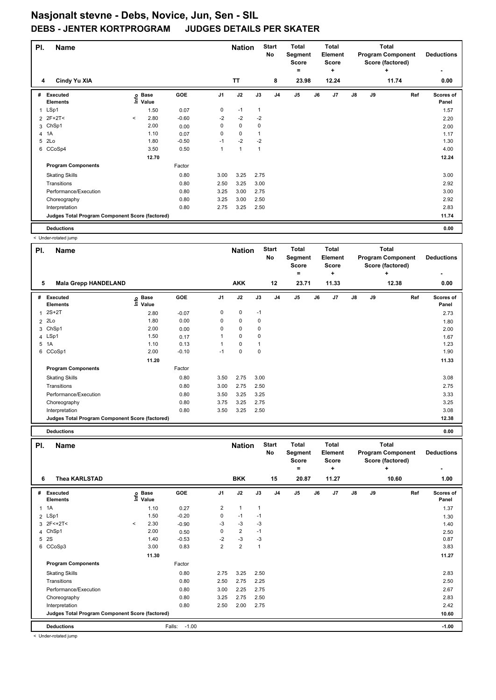| PI. | <b>Name</b>                                     |         |                            |         |      | <b>Nation</b>  |              | <b>Start</b><br>No | <b>Total</b><br>Segment<br><b>Score</b><br>$=$ |    | <b>Total</b><br>Element<br><b>Score</b><br>٠ |               |    | <b>Total</b><br><b>Program Component</b><br>Score (factored)<br>٠ | <b>Deductions</b>  |
|-----|-------------------------------------------------|---------|----------------------------|---------|------|----------------|--------------|--------------------|------------------------------------------------|----|----------------------------------------------|---------------|----|-------------------------------------------------------------------|--------------------|
| 4   | Cindy Yu XIA                                    |         |                            |         |      | <b>TT</b>      |              | 8                  | 23.98                                          |    | 12.24                                        |               |    | 11.74                                                             | 0.00               |
| #   | Executed<br><b>Elements</b>                     |         | e Base<br>E Value<br>Value | GOE     | J1   | J2             | J3           | J <sub>4</sub>     | J <sub>5</sub>                                 | J6 | J <sub>7</sub>                               | $\mathsf{J}8$ | J9 | Ref                                                               | Scores of<br>Panel |
|     | 1 LSp1                                          |         | 1.50                       | 0.07    | 0    | $-1$           | $\mathbf{1}$ |                    |                                                |    |                                              |               |    |                                                                   | 1.57               |
|     | 2 2F+2T<                                        | $\,<\,$ | 2.80                       | $-0.60$ | $-2$ | $-2$           | $-2$         |                    |                                                |    |                                              |               |    |                                                                   | 2.20               |
| 3   | ChSp1                                           |         | 2.00                       | 0.00    | 0    | $\mathbf 0$    | 0            |                    |                                                |    |                                              |               |    |                                                                   | 2.00               |
|     | 4 1A                                            |         | 1.10                       | 0.07    | 0    | 0              |              |                    |                                                |    |                                              |               |    |                                                                   | 1.17               |
| 5   | 2Lo                                             |         | 1.80                       | $-0.50$ | $-1$ | $-2$           | $-2$         |                    |                                                |    |                                              |               |    |                                                                   | 1.30               |
| 6   | CCoSp4                                          |         | 3.50                       | 0.50    | 1    | $\overline{1}$ | 1            |                    |                                                |    |                                              |               |    |                                                                   | 4.00               |
|     |                                                 |         | 12.70                      |         |      |                |              |                    |                                                |    |                                              |               |    |                                                                   | 12.24              |
|     | <b>Program Components</b>                       |         |                            | Factor  |      |                |              |                    |                                                |    |                                              |               |    |                                                                   |                    |
|     | <b>Skating Skills</b>                           |         |                            | 0.80    | 3.00 | 3.25           | 2.75         |                    |                                                |    |                                              |               |    |                                                                   | 3.00               |
|     | Transitions                                     |         |                            | 0.80    | 2.50 | 3.25           | 3.00         |                    |                                                |    |                                              |               |    |                                                                   | 2.92               |
|     | Performance/Execution                           |         |                            | 0.80    | 3.25 | 3.00           | 2.75         |                    |                                                |    |                                              |               |    |                                                                   | 3.00               |
|     | Choreography                                    |         |                            | 0.80    | 3.25 | 3.00           | 2.50         |                    |                                                |    |                                              |               |    |                                                                   | 2.92               |
|     | Interpretation                                  |         |                            | 0.80    | 2.75 | 3.25           | 2.50         |                    |                                                |    |                                              |               |    |                                                                   | 2.83               |
|     | Judges Total Program Component Score (factored) |         |                            |         |      |                |              |                    |                                                |    |                                              |               |    |                                                                   | 11.74              |
|     | <b>Deductions</b>                               |         |                            |         |      |                |              |                    |                                                |    |                                              |               |    |                                                                   | 0.00               |

< Under-rotated jump

|              | Office - Forated Juli Ip                        |                            |         |                |               |             |                    |                                  |    |                                  |    |    |                                                              |                           |
|--------------|-------------------------------------------------|----------------------------|---------|----------------|---------------|-------------|--------------------|----------------------------------|----|----------------------------------|----|----|--------------------------------------------------------------|---------------------------|
| PI.          | <b>Name</b>                                     |                            |         |                | <b>Nation</b> |             | <b>Start</b><br>No | Total<br>Segment<br><b>Score</b> |    | Total<br>Element<br><b>Score</b> |    |    | <b>Total</b><br><b>Program Component</b><br>Score (factored) | <b>Deductions</b>         |
|              |                                                 |                            |         |                |               |             |                    | $=$                              |    | ٠                                |    |    | ٠                                                            |                           |
| 5            | <b>Mala Grepp HANDELAND</b>                     |                            |         |                | <b>AKK</b>    |             | 12                 | 23.71                            |    | 11.33                            |    |    | 12.38                                                        | 0.00                      |
| #            | Executed<br><b>Elements</b>                     | e Base<br>E Value<br>Value | GOE     | J <sub>1</sub> | J2            | J3          | J <sub>4</sub>     | J5                               | J6 | J <sub>7</sub>                   | J8 | J9 | Ref                                                          | <b>Scores of</b><br>Panel |
| $\mathbf{1}$ | $2S+2T$                                         | 2.80                       | $-0.07$ | 0              | 0             | $-1$        |                    |                                  |    |                                  |    |    |                                                              | 2.73                      |
|              | 2 2Lo                                           | 1.80                       | 0.00    | 0              | 0             | 0           |                    |                                  |    |                                  |    |    |                                                              | 1.80                      |
|              | 3 ChSp1                                         | 2.00                       | 0.00    | 0              | 0             | $\mathbf 0$ |                    |                                  |    |                                  |    |    |                                                              | 2.00                      |
|              | 4 LSp1                                          | 1.50                       | 0.17    |                | 0             | 0           |                    |                                  |    |                                  |    |    |                                                              | 1.67                      |
|              | 5 1A                                            | 1.10                       | 0.13    | 1              | 0             |             |                    |                                  |    |                                  |    |    |                                                              | 1.23                      |
|              | 6 CCoSp1                                        | 2.00                       | $-0.10$ | $-1$           | 0             | $\mathbf 0$ |                    |                                  |    |                                  |    |    |                                                              | 1.90                      |
|              |                                                 | 11.20                      |         |                |               |             |                    |                                  |    |                                  |    |    |                                                              | 11.33                     |
|              | <b>Program Components</b>                       |                            | Factor  |                |               |             |                    |                                  |    |                                  |    |    |                                                              |                           |
|              | <b>Skating Skills</b>                           |                            | 0.80    | 3.50           | 2.75          | 3.00        |                    |                                  |    |                                  |    |    |                                                              | 3.08                      |
|              | Transitions                                     |                            | 0.80    | 3.00           | 2.75          | 2.50        |                    |                                  |    |                                  |    |    |                                                              | 2.75                      |
|              | Performance/Execution                           |                            | 0.80    | 3.50           | 3.25          | 3.25        |                    |                                  |    |                                  |    |    |                                                              | 3.33                      |
|              | Choreography                                    |                            | 0.80    | 3.75           | 3.25          | 2.75        |                    |                                  |    |                                  |    |    |                                                              | 3.25                      |
|              | Interpretation                                  |                            | 0.80    | 3.50           | 3.25          | 2.50        |                    |                                  |    |                                  |    |    |                                                              | 3.08                      |
|              | Judges Total Program Component Score (factored) |                            |         |                |               |             |                    |                                  |    |                                  |    |    |                                                              | 12.38                     |

| <b>Deductions</b> |  | 0.00 |
|-------------------|--|------|
|                   |  |      |

| PI.          | <b>Name</b>                                     |         |                   |                   |                | <b>Nation</b>  |              | <b>Start</b><br>No | <b>Total</b><br>Segment<br><b>Score</b><br>۰ |    | Total<br>Element<br><b>Score</b><br>÷ |               |    | Total<br><b>Program Component</b><br>Score (factored)<br>÷ | <b>Deductions</b><br>٠ |
|--------------|-------------------------------------------------|---------|-------------------|-------------------|----------------|----------------|--------------|--------------------|----------------------------------------------|----|---------------------------------------|---------------|----|------------------------------------------------------------|------------------------|
| 6            | <b>Thea KARLSTAD</b>                            |         |                   |                   |                | <b>BKK</b>     |              | 15                 | 20.87                                        |    | 11.27                                 |               |    | 10.60                                                      | 1.00                   |
| #            | Executed<br><b>Elements</b>                     |         | e Base<br>⊆ Value | GOE               | J <sub>1</sub> | J2             | J3           | J <sub>4</sub>     | J <sub>5</sub>                               | J6 | J <sub>7</sub>                        | $\mathsf{J}8$ | J9 | Ref                                                        | Scores of<br>Panel     |
| $\mathbf{1}$ | 1A                                              |         | 1.10              | 0.27              | $\overline{2}$ | $\mathbf{1}$   | $\mathbf{1}$ |                    |                                              |    |                                       |               |    |                                                            | 1.37                   |
|              | 2 LSp1                                          |         | 1.50              | $-0.20$           | 0              | $-1$           | $-1$         |                    |                                              |    |                                       |               |    |                                                            | 1.30                   |
|              | $3 \t2F < +2T <$                                | $\prec$ | 2.30              | $-0.90$           | -3             | $-3$           | -3           |                    |                                              |    |                                       |               |    |                                                            | 1.40                   |
| 4            | ChSp1                                           |         | 2.00              | 0.50              | 0              | $\overline{2}$ | $-1$         |                    |                                              |    |                                       |               |    |                                                            | 2.50                   |
| 5            | 2S                                              |         | 1.40              | $-0.53$           | $-2$           | $-3$           | -3           |                    |                                              |    |                                       |               |    |                                                            | 0.87                   |
| 6            | CCoSp3                                          |         | 3.00              | 0.83              | $\overline{2}$ | $\overline{2}$ | $\mathbf{1}$ |                    |                                              |    |                                       |               |    |                                                            | 3.83                   |
|              |                                                 |         | 11.30             |                   |                |                |              |                    |                                              |    |                                       |               |    |                                                            | 11.27                  |
|              | <b>Program Components</b>                       |         |                   | Factor            |                |                |              |                    |                                              |    |                                       |               |    |                                                            |                        |
|              | <b>Skating Skills</b>                           |         |                   | 0.80              | 2.75           | 3.25           | 2.50         |                    |                                              |    |                                       |               |    |                                                            | 2.83                   |
|              | Transitions                                     |         |                   | 0.80              | 2.50           | 2.75           | 2.25         |                    |                                              |    |                                       |               |    |                                                            | 2.50                   |
|              | Performance/Execution                           |         |                   | 0.80              | 3.00           | 2.25           | 2.75         |                    |                                              |    |                                       |               |    |                                                            | 2.67                   |
|              | Choreography                                    |         |                   | 0.80              | 3.25           | 2.75           | 2.50         |                    |                                              |    |                                       |               |    |                                                            | 2.83                   |
|              | Interpretation                                  |         |                   | 0.80              | 2.50           | 2.00           | 2.75         |                    |                                              |    |                                       |               |    |                                                            | 2.42                   |
|              | Judges Total Program Component Score (factored) |         |                   |                   |                |                |              |                    |                                              |    |                                       |               |    |                                                            | 10.60                  |
|              | <b>Deductions</b>                               |         |                   | $-1.00$<br>Falls: |                |                |              |                    |                                              |    |                                       |               |    |                                                            | $-1.00$                |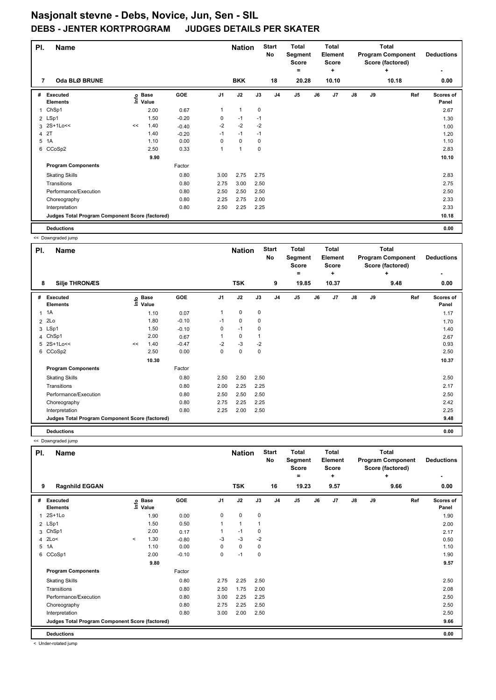| PI. | <b>Name</b>                                     |    |                   |         |                | <b>Nation</b> |             | <b>Start</b><br><b>No</b> | <b>Total</b><br>Segment<br><b>Score</b><br>= |    | <b>Total</b><br>Element<br><b>Score</b><br>٠ |    |    | <b>Total</b><br><b>Program Component</b><br>Score (factored)<br>٠ | <b>Deductions</b>  |
|-----|-------------------------------------------------|----|-------------------|---------|----------------|---------------|-------------|---------------------------|----------------------------------------------|----|----------------------------------------------|----|----|-------------------------------------------------------------------|--------------------|
| 7   | Oda BLØ BRUNE                                   |    |                   |         |                | <b>BKK</b>    |             | 18                        | 20.28                                        |    | 10.10                                        |    |    | 10.18                                                             | 0.00               |
| #   | <b>Executed</b><br><b>Elements</b>              |    | e Base<br>⊆ Value | GOE     | J <sub>1</sub> | J2            | J3          | J <sub>4</sub>            | J <sub>5</sub>                               | J6 | J <sub>7</sub>                               | J8 | J9 | Ref                                                               | Scores of<br>Panel |
| 1   | ChSp1                                           |    | 2.00              | 0.67    |                | $\mathbf{1}$  | $\mathbf 0$ |                           |                                              |    |                                              |    |    |                                                                   | 2.67               |
|     | 2 LSp1                                          |    | 1.50              | $-0.20$ | 0              | $-1$          | $-1$        |                           |                                              |    |                                              |    |    |                                                                   | 1.30               |
|     | 3 2S+1Lo<<                                      | << | 1.40              | $-0.40$ | $-2$           | $-2$          | $-2$        |                           |                                              |    |                                              |    |    |                                                                   | 1.00               |
| 4   | 2T                                              |    | 1.40              | $-0.20$ | $-1$           | $-1$          | $-1$        |                           |                                              |    |                                              |    |    |                                                                   | 1.20               |
| 5   | 1A                                              |    | 1.10              | 0.00    | 0              | $\mathbf 0$   | 0           |                           |                                              |    |                                              |    |    |                                                                   | 1.10               |
|     | 6 CCoSp2                                        |    | 2.50              | 0.33    |                | 1             | $\mathbf 0$ |                           |                                              |    |                                              |    |    |                                                                   | 2.83               |
|     |                                                 |    | 9.90              |         |                |               |             |                           |                                              |    |                                              |    |    |                                                                   | 10.10              |
|     | <b>Program Components</b>                       |    |                   | Factor  |                |               |             |                           |                                              |    |                                              |    |    |                                                                   |                    |
|     | <b>Skating Skills</b>                           |    |                   | 0.80    | 3.00           | 2.75          | 2.75        |                           |                                              |    |                                              |    |    |                                                                   | 2.83               |
|     | Transitions                                     |    |                   | 0.80    | 2.75           | 3.00          | 2.50        |                           |                                              |    |                                              |    |    |                                                                   | 2.75               |
|     | Performance/Execution                           |    |                   | 0.80    | 2.50           | 2.50          | 2.50        |                           |                                              |    |                                              |    |    |                                                                   | 2.50               |
|     | Choreography                                    |    |                   | 0.80    | 2.25           | 2.75          | 2.00        |                           |                                              |    |                                              |    |    |                                                                   | 2.33               |
|     | Interpretation                                  |    |                   | 0.80    | 2.50           | 2.25          | 2.25        |                           |                                              |    |                                              |    |    |                                                                   | 2.33               |
|     | Judges Total Program Component Score (factored) |    |                   |         |                |               |             |                           |                                              |    |                                              |    |    |                                                                   | 10.18              |
|     | <b>Deductions</b>                               |    |                   |         |                |               |             |                           |                                              |    |                                              |    |    |                                                                   | 0.00               |

<< Downgraded jump

|              | A Downgraucu jump                               |    |                            |         |                |               |      |                    |                                         |    |                                  |               |    |                                                              |                    |
|--------------|-------------------------------------------------|----|----------------------------|---------|----------------|---------------|------|--------------------|-----------------------------------------|----|----------------------------------|---------------|----|--------------------------------------------------------------|--------------------|
| PI.          | <b>Name</b>                                     |    |                            |         |                | <b>Nation</b> |      | <b>Start</b><br>No | <b>Total</b><br>Segment<br><b>Score</b> |    | Total<br>Element<br><b>Score</b> |               |    | <b>Total</b><br><b>Program Component</b><br>Score (factored) | <b>Deductions</b>  |
|              |                                                 |    |                            |         |                |               |      |                    | $=$                                     |    | ÷                                |               |    | ٠                                                            |                    |
| 8            | <b>Silje THRONÆS</b>                            |    |                            |         |                | <b>TSK</b>    |      | 9                  | 19.85                                   |    | 10.37                            |               |    | 9.48                                                         | 0.00               |
| #            | Executed<br><b>Elements</b>                     |    | e Base<br>E Value<br>Value | GOE     | J <sub>1</sub> | J2            | J3   | J <sub>4</sub>     | J <sub>5</sub>                          | J6 | J <sub>7</sub>                   | $\mathsf{J}8$ | J9 | Ref                                                          | Scores of<br>Panel |
| $\mathbf{1}$ | 1A                                              |    | 1.10                       | 0.07    | 1              | 0             | 0    |                    |                                         |    |                                  |               |    |                                                              | 1.17               |
|              | $2$ $2Lo$                                       |    | 1.80                       | $-0.10$ | $-1$           | 0             | 0    |                    |                                         |    |                                  |               |    |                                                              | 1.70               |
|              | 3 LSp1                                          |    | 1.50                       | $-0.10$ | 0              | $-1$          | 0    |                    |                                         |    |                                  |               |    |                                                              | 1.40               |
|              | 4 ChSp1                                         |    | 2.00                       | 0.67    |                | 0             |      |                    |                                         |    |                                  |               |    |                                                              | 2.67               |
|              | 5 2S+1Lo<<                                      | << | 1.40                       | $-0.47$ | $-2$           | $-3$          | $-2$ |                    |                                         |    |                                  |               |    |                                                              | 0.93               |
|              | 6 CCoSp2                                        |    | 2.50                       | 0.00    | 0              | 0             | 0    |                    |                                         |    |                                  |               |    |                                                              | 2.50               |
|              |                                                 |    | 10.30                      |         |                |               |      |                    |                                         |    |                                  |               |    |                                                              | 10.37              |
|              | <b>Program Components</b>                       |    |                            | Factor  |                |               |      |                    |                                         |    |                                  |               |    |                                                              |                    |
|              | <b>Skating Skills</b>                           |    |                            | 0.80    | 2.50           | 2.50          | 2.50 |                    |                                         |    |                                  |               |    |                                                              | 2.50               |
|              | Transitions                                     |    |                            | 0.80    | 2.00           | 2.25          | 2.25 |                    |                                         |    |                                  |               |    |                                                              | 2.17               |
|              | Performance/Execution                           |    |                            | 0.80    | 2.50           | 2.50          | 2.50 |                    |                                         |    |                                  |               |    |                                                              | 2.50               |
|              | Choreography                                    |    |                            | 0.80    | 2.75           | 2.25          | 2.25 |                    |                                         |    |                                  |               |    |                                                              | 2.42               |
|              | Interpretation                                  |    |                            | 0.80    | 2.25           | 2.00          | 2.50 |                    |                                         |    |                                  |               |    |                                                              | 2.25               |
|              | Judges Total Program Component Score (factored) |    |                            |         |                |               |      |                    |                                         |    |                                  |               |    |                                                              | 9.48               |
|              | <b>Deductions</b>                               |    |                            |         |                |               |      |                    |                                         |    |                                  |               |    |                                                              | 0.00               |

<< Downgraded jump

| PI.            | <b>Name</b>                                     |         |                                  |         |                | <b>Nation</b>  |           | <b>Start</b><br><b>No</b> | <b>Total</b><br>Segment<br><b>Score</b><br>۰ |    | <b>Total</b><br>Element<br>Score<br>÷ |    |    | <b>Total</b><br><b>Program Component</b><br>Score (factored)<br>٠ | <b>Deductions</b>  |
|----------------|-------------------------------------------------|---------|----------------------------------|---------|----------------|----------------|-----------|---------------------------|----------------------------------------------|----|---------------------------------------|----|----|-------------------------------------------------------------------|--------------------|
| 9              | <b>Ragnhild EGGAN</b>                           |         |                                  |         |                | <b>TSK</b>     |           | 16                        | 19.23                                        |    | 9.57                                  |    |    | 9.66                                                              | 0.00               |
| #              | <b>Executed</b><br><b>Elements</b>              |         | <b>Base</b><br>e Base<br>⊑ Value | GOE     | J <sub>1</sub> | J2             | J3        | J <sub>4</sub>            | J <sub>5</sub>                               | J6 | J7                                    | J8 | J9 | Ref                                                               | Scores of<br>Panel |
| $\overline{1}$ | $2S+1Lo$                                        |         | 1.90                             | 0.00    | 0              | $\mathbf 0$    | $\pmb{0}$ |                           |                                              |    |                                       |    |    |                                                                   | 1.90               |
|                | 2 LSp1                                          |         | 1.50                             | 0.50    | 1              | $\overline{1}$ |           |                           |                                              |    |                                       |    |    |                                                                   | 2.00               |
| 3              | ChSp1                                           |         | 2.00                             | 0.17    |                | $-1$           | 0         |                           |                                              |    |                                       |    |    |                                                                   | 2.17               |
|                | 4 2Lo<                                          | $\prec$ | 1.30                             | $-0.80$ | -3             | $-3$           | $-2$      |                           |                                              |    |                                       |    |    |                                                                   | 0.50               |
| 5              | 1A                                              |         | 1.10                             | 0.00    | 0              | $\mathbf 0$    | 0         |                           |                                              |    |                                       |    |    |                                                                   | 1.10               |
|                | 6 CCoSp1                                        |         | 2.00                             | $-0.10$ | 0              | $-1$           | 0         |                           |                                              |    |                                       |    |    |                                                                   | 1.90               |
|                |                                                 |         | 9.80                             |         |                |                |           |                           |                                              |    |                                       |    |    |                                                                   | 9.57               |
|                | <b>Program Components</b>                       |         |                                  | Factor  |                |                |           |                           |                                              |    |                                       |    |    |                                                                   |                    |
|                | <b>Skating Skills</b>                           |         |                                  | 0.80    | 2.75           | 2.25           | 2.50      |                           |                                              |    |                                       |    |    |                                                                   | 2.50               |
|                | Transitions                                     |         |                                  | 0.80    | 2.50           | 1.75           | 2.00      |                           |                                              |    |                                       |    |    |                                                                   | 2.08               |
|                | Performance/Execution                           |         |                                  | 0.80    | 3.00           | 2.25           | 2.25      |                           |                                              |    |                                       |    |    |                                                                   | 2.50               |
|                | Choreography                                    |         |                                  | 0.80    | 2.75           | 2.25           | 2.50      |                           |                                              |    |                                       |    |    |                                                                   | 2.50               |
|                | Interpretation                                  |         |                                  | 0.80    | 3.00           | 2.00           | 2.50      |                           |                                              |    |                                       |    |    |                                                                   | 2.50               |
|                | Judges Total Program Component Score (factored) |         |                                  |         |                |                |           |                           |                                              |    |                                       |    |    |                                                                   | 9.66               |
|                | <b>Deductions</b>                               |         |                                  |         |                |                |           |                           |                                              |    |                                       |    |    |                                                                   | 0.00               |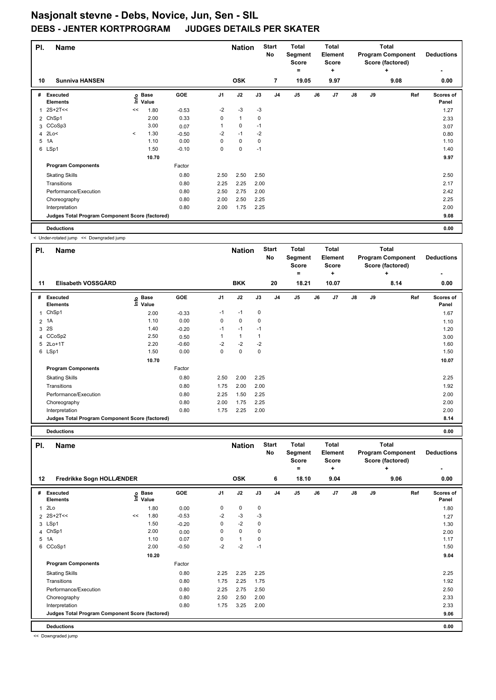| PI.            | <b>Name</b>                                     |         |                            |         |                | <b>Nation</b> |      | <b>Start</b><br><b>No</b> | <b>Total</b><br>Segment<br><b>Score</b><br>= |    | <b>Total</b><br>Element<br><b>Score</b><br>٠ |    |    | <b>Total</b><br><b>Program Component</b><br>Score (factored)<br>٠ | <b>Deductions</b>  |
|----------------|-------------------------------------------------|---------|----------------------------|---------|----------------|---------------|------|---------------------------|----------------------------------------------|----|----------------------------------------------|----|----|-------------------------------------------------------------------|--------------------|
| 10             | <b>Sunniva HANSEN</b>                           |         |                            |         |                | <b>OSK</b>    |      | $\overline{7}$            | 19.05                                        |    | 9.97                                         |    |    | 9.08                                                              | 0.00               |
| #              | <b>Executed</b><br><b>Elements</b>              |         | e Base<br>⊆ Value<br>Value | GOE     | J <sub>1</sub> | J2            | J3   | J <sub>4</sub>            | J <sub>5</sub>                               | J6 | J <sub>7</sub>                               | J8 | J9 | Ref                                                               | Scores of<br>Panel |
| 1              | $2S+2T<<$                                       | <<      | 1.80                       | $-0.53$ | $-2$           | $-3$          | $-3$ |                           |                                              |    |                                              |    |    |                                                                   | 1.27               |
|                | 2 ChSp1                                         |         | 2.00                       | 0.33    | 0              | $\mathbf{1}$  | 0    |                           |                                              |    |                                              |    |    |                                                                   | 2.33               |
|                | 3 CCoSp3                                        |         | 3.00                       | 0.07    |                | 0             | $-1$ |                           |                                              |    |                                              |    |    |                                                                   | 3.07               |
| $\overline{a}$ | 2Lo<                                            | $\prec$ | 1.30                       | $-0.50$ | $-2$           | $-1$          | $-2$ |                           |                                              |    |                                              |    |    |                                                                   | 0.80               |
| 5              | 1A                                              |         | 1.10                       | 0.00    | 0              | $\pmb{0}$     | 0    |                           |                                              |    |                                              |    |    |                                                                   | 1.10               |
|                | 6 LSp1                                          |         | 1.50                       | $-0.10$ | 0              | $\pmb{0}$     | $-1$ |                           |                                              |    |                                              |    |    |                                                                   | 1.40               |
|                |                                                 |         | 10.70                      |         |                |               |      |                           |                                              |    |                                              |    |    |                                                                   | 9.97               |
|                | <b>Program Components</b>                       |         |                            | Factor  |                |               |      |                           |                                              |    |                                              |    |    |                                                                   |                    |
|                | <b>Skating Skills</b>                           |         |                            | 0.80    | 2.50           | 2.50          | 2.50 |                           |                                              |    |                                              |    |    |                                                                   | 2.50               |
|                | Transitions                                     |         |                            | 0.80    | 2.25           | 2.25          | 2.00 |                           |                                              |    |                                              |    |    |                                                                   | 2.17               |
|                | Performance/Execution                           |         |                            | 0.80    | 2.50           | 2.75          | 2.00 |                           |                                              |    |                                              |    |    |                                                                   | 2.42               |
|                | Choreography                                    |         |                            | 0.80    | 2.00           | 2.50          | 2.25 |                           |                                              |    |                                              |    |    |                                                                   | 2.25               |
|                | Interpretation                                  |         |                            | 0.80    | 2.00           | 1.75          | 2.25 |                           |                                              |    |                                              |    |    |                                                                   | 2.00               |
|                | Judges Total Program Component Score (factored) |         |                            |         |                |               |      |                           |                                              |    |                                              |    |    |                                                                   | 9.08               |
|                | <b>Deductions</b>                               |         |                            |         |                |               |      |                           |                                              |    |                                              |    |    |                                                                   | 0.00               |

< Under-rotated jump << Downgraded jump

| PI.          | <b>Name</b>                                     |                            |            |      | <b>Nation</b> |      | <b>Start</b><br>No | <b>Total</b><br>Segment<br><b>Score</b> |    | Total<br>Element<br><b>Score</b> |               |    | <b>Total</b><br><b>Program Component</b><br>Score (factored) | <b>Deductions</b>  |
|--------------|-------------------------------------------------|----------------------------|------------|------|---------------|------|--------------------|-----------------------------------------|----|----------------------------------|---------------|----|--------------------------------------------------------------|--------------------|
| 11           | Elisabeth VOSSGÅRD                              |                            |            |      | <b>BKK</b>    |      | 20                 | ۰<br>18.21                              |    | ٠<br>10.07                       |               |    | ÷<br>8.14                                                    | 0.00               |
|              |                                                 |                            |            |      |               |      |                    |                                         |    |                                  |               |    |                                                              |                    |
| #            | Executed<br><b>Elements</b>                     | e Base<br>E Value<br>Value | <b>GOE</b> | J1   | J2            | J3   | J <sub>4</sub>     | J <sub>5</sub>                          | J6 | J7                               | $\mathsf{J}8$ | J9 | Ref                                                          | Scores of<br>Panel |
| $\mathbf{1}$ | ChSp1                                           | 2.00                       | $-0.33$    | $-1$ | $-1$          | 0    |                    |                                         |    |                                  |               |    |                                                              | 1.67               |
|              | 2 1A                                            | 1.10                       | 0.00       | 0    | $\mathbf 0$   | 0    |                    |                                         |    |                                  |               |    |                                                              | 1.10               |
| 3            | 2S                                              | 1.40                       | $-0.20$    | $-1$ | $-1$          | $-1$ |                    |                                         |    |                                  |               |    |                                                              | 1.20               |
|              | 4 CCoSp2                                        | 2.50                       | 0.50       |      | $\mathbf{1}$  |      |                    |                                         |    |                                  |               |    |                                                              | 3.00               |
|              | 5 2Lo+1T                                        | 2.20                       | $-0.60$    | $-2$ | $-2$          | $-2$ |                    |                                         |    |                                  |               |    |                                                              | 1.60               |
|              | 6 LSp1                                          | 1.50                       | 0.00       | 0    | $\mathbf 0$   | 0    |                    |                                         |    |                                  |               |    |                                                              | 1.50               |
|              |                                                 | 10.70                      |            |      |               |      |                    |                                         |    |                                  |               |    |                                                              | 10.07              |
|              | <b>Program Components</b>                       |                            | Factor     |      |               |      |                    |                                         |    |                                  |               |    |                                                              |                    |
|              | <b>Skating Skills</b>                           |                            | 0.80       | 2.50 | 2.00          | 2.25 |                    |                                         |    |                                  |               |    |                                                              | 2.25               |
|              | Transitions                                     |                            | 0.80       | 1.75 | 2.00          | 2.00 |                    |                                         |    |                                  |               |    |                                                              | 1.92               |
|              | Performance/Execution                           |                            | 0.80       | 2.25 | 1.50          | 2.25 |                    |                                         |    |                                  |               |    |                                                              | 2.00               |
|              | Choreography                                    |                            | 0.80       | 2.00 | 1.75          | 2.25 |                    |                                         |    |                                  |               |    |                                                              | 2.00               |
|              | Interpretation                                  |                            | 0.80       | 1.75 | 2.25          | 2.00 |                    |                                         |    |                                  |               |    |                                                              | 2.00               |
|              | Judges Total Program Component Score (factored) |                            |            |      |               |      |                    |                                         |    |                                  |               |    |                                                              | 8.14               |

| PI. | <b>Name</b>                                     |    |                   |         |                | <b>Nation</b> |      | <b>Start</b><br>No | <b>Total</b><br>Segment<br><b>Score</b><br>$\equiv$ |    | <b>Total</b><br>Element<br><b>Score</b><br>÷ |               |    | <b>Total</b><br><b>Program Component</b><br>Score (factored)<br>÷ | <b>Deductions</b>  |
|-----|-------------------------------------------------|----|-------------------|---------|----------------|---------------|------|--------------------|-----------------------------------------------------|----|----------------------------------------------|---------------|----|-------------------------------------------------------------------|--------------------|
| 12  | Fredrikke Sogn HOLLÆNDER                        |    |                   |         |                | <b>OSK</b>    |      | 6                  | 18.10                                               |    | 9.04                                         |               |    | 9.06                                                              | 0.00               |
| #   | <b>Executed</b><br><b>Elements</b>              |    | e Base<br>⊆ Value | GOE     | J <sub>1</sub> | J2            | J3   | J <sub>4</sub>     | J <sub>5</sub>                                      | J6 | J7                                           | $\mathsf{J}8$ | J9 | Ref                                                               | Scores of<br>Panel |
| 1   | 2Lo                                             |    | 1.80              | 0.00    | 0              | $\pmb{0}$     | 0    |                    |                                                     |    |                                              |               |    |                                                                   | 1.80               |
|     | $2S+2T<<$                                       | << | 1.80              | $-0.53$ | $-2$           | $-3$          | -3   |                    |                                                     |    |                                              |               |    |                                                                   | 1.27               |
|     | 3 LSp1                                          |    | 1.50              | $-0.20$ | 0              | $-2$          | 0    |                    |                                                     |    |                                              |               |    |                                                                   | 1.30               |
| 4   | ChSp1                                           |    | 2.00              | 0.00    | $\Omega$       | $\mathbf 0$   | 0    |                    |                                                     |    |                                              |               |    |                                                                   | 2.00               |
| 5   | 1A                                              |    | 1.10              | 0.07    | $\Omega$       | $\mathbf{1}$  | 0    |                    |                                                     |    |                                              |               |    |                                                                   | 1.17               |
| 6   | CCoSp1                                          |    | 2.00              | $-0.50$ | $-2$           | $-2$          | $-1$ |                    |                                                     |    |                                              |               |    |                                                                   | 1.50               |
|     |                                                 |    | 10.20             |         |                |               |      |                    |                                                     |    |                                              |               |    |                                                                   | 9.04               |
|     | <b>Program Components</b>                       |    |                   | Factor  |                |               |      |                    |                                                     |    |                                              |               |    |                                                                   |                    |
|     | <b>Skating Skills</b>                           |    |                   | 0.80    | 2.25           | 2.25          | 2.25 |                    |                                                     |    |                                              |               |    |                                                                   | 2.25               |
|     | Transitions                                     |    |                   | 0.80    | 1.75           | 2.25          | 1.75 |                    |                                                     |    |                                              |               |    |                                                                   | 1.92               |
|     | Performance/Execution                           |    |                   | 0.80    | 2.25           | 2.75          | 2.50 |                    |                                                     |    |                                              |               |    |                                                                   | 2.50               |
|     | Choreography                                    |    |                   | 0.80    | 2.50           | 2.50          | 2.00 |                    |                                                     |    |                                              |               |    |                                                                   | 2.33               |
|     | Interpretation                                  |    |                   | 0.80    | 1.75           | 3.25          | 2.00 |                    |                                                     |    |                                              |               |    |                                                                   | 2.33               |
|     | Judges Total Program Component Score (factored) |    |                   |         |                |               |      |                    |                                                     |    |                                              |               |    |                                                                   | 9.06               |
|     | <b>Deductions</b>                               |    |                   |         |                |               |      |                    |                                                     |    |                                              |               |    |                                                                   | 0.00               |

<< Downgraded jump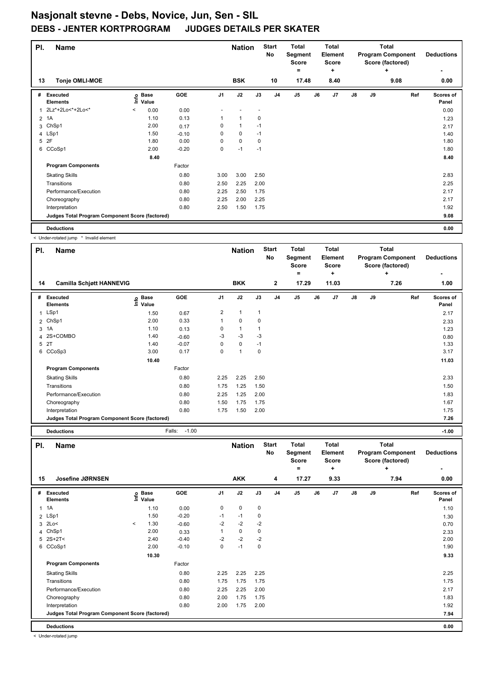# **Nasjonalt stevne - Debs, Novice, Jun, Sen - SIL DEBS - JENTER KORTPROGRAM**

| PI. | <b>Name</b>                                     |         |                            |         |                | <b>Nation</b> |      | <b>Start</b><br>No | <b>Total</b><br>Segment<br><b>Score</b><br>$\equiv$ |    | <b>Total</b><br><b>Element</b><br><b>Score</b><br>÷ |               |    | <b>Total</b><br><b>Program Component</b><br>Score (factored)<br>٠ | <b>Deductions</b>  |
|-----|-------------------------------------------------|---------|----------------------------|---------|----------------|---------------|------|--------------------|-----------------------------------------------------|----|-----------------------------------------------------|---------------|----|-------------------------------------------------------------------|--------------------|
| 13  | <b>Tonje OMLI-MOE</b>                           |         |                            |         |                | <b>BSK</b>    |      | 10                 | 17.48                                               |    | 8.40                                                |               |    | 9.08                                                              | 0.00               |
| #   | <b>Executed</b><br><b>Elements</b>              |         | e Base<br>⊑ Value<br>Value | GOE     | J <sub>1</sub> | J2            | J3   | J <sub>4</sub>     | J <sub>5</sub>                                      | J6 | J7                                                  | $\mathsf{J}8$ | J9 | Ref                                                               | Scores of<br>Panel |
| 1   | 2Lz*+2Lo<*+2Lo<*                                | $\,<\,$ | 0.00                       | 0.00    |                |               |      |                    |                                                     |    |                                                     |               |    |                                                                   | 0.00               |
|     | 2 1A                                            |         | 1.10                       | 0.13    |                | $\mathbf 1$   | 0    |                    |                                                     |    |                                                     |               |    |                                                                   | 1.23               |
| 3   | ChSp1                                           |         | 2.00                       | 0.17    | 0              | $\mathbf 1$   | $-1$ |                    |                                                     |    |                                                     |               |    |                                                                   | 2.17               |
|     | 4 LSp1                                          |         | 1.50                       | $-0.10$ | 0              | 0             | $-1$ |                    |                                                     |    |                                                     |               |    |                                                                   | 1.40               |
| 5   | 2F                                              |         | 1.80                       | 0.00    | 0              | $\mathbf 0$   | 0    |                    |                                                     |    |                                                     |               |    |                                                                   | 1.80               |
| 6   | CCoSp1                                          |         | 2.00                       | $-0.20$ | 0              | $-1$          | $-1$ |                    |                                                     |    |                                                     |               |    |                                                                   | 1.80               |
|     |                                                 |         | 8.40                       |         |                |               |      |                    |                                                     |    |                                                     |               |    |                                                                   | 8.40               |
|     | <b>Program Components</b>                       |         |                            | Factor  |                |               |      |                    |                                                     |    |                                                     |               |    |                                                                   |                    |
|     | <b>Skating Skills</b>                           |         |                            | 0.80    | 3.00           | 3.00          | 2.50 |                    |                                                     |    |                                                     |               |    |                                                                   | 2.83               |
|     | Transitions                                     |         |                            | 0.80    | 2.50           | 2.25          | 2.00 |                    |                                                     |    |                                                     |               |    |                                                                   | 2.25               |
|     | Performance/Execution                           |         |                            | 0.80    | 2.25           | 2.50          | 1.75 |                    |                                                     |    |                                                     |               |    |                                                                   | 2.17               |
|     | Choreography                                    |         |                            | 0.80    | 2.25           | 2.00          | 2.25 |                    |                                                     |    |                                                     |               |    |                                                                   | 2.17               |
|     | Interpretation                                  |         |                            | 0.80    | 2.50           | 1.50          | 1.75 |                    |                                                     |    |                                                     |               |    |                                                                   | 1.92               |
|     | Judges Total Program Component Score (factored) |         |                            |         |                |               |      |                    |                                                     |    |                                                     |               |    |                                                                   | 9.08               |
|     | <b>Deductions</b>                               |         |                            |         |                |               |      |                    |                                                     |    |                                                     |               |    |                                                                   | 0.00               |

< Under-rotated jump \* Invalid element

| ÷<br>$\equiv$<br>÷<br><b>BKK</b><br>$\mathbf{2}$<br>17.29<br>11.03<br>7.26<br><b>Camilla Schjøtt HANNEVIG</b><br>14<br><b>GOE</b><br>J2<br>J3<br>J <sub>4</sub><br>J5<br>J <sub>7</sub><br>$\mathsf{J}8$<br><b>Base</b><br>J1<br>J6<br>J9<br>Executed<br>Ref<br>#<br>١nf٥<br>Value<br><b>Elements</b><br>LSp1<br>2<br>1<br>1<br>0.67<br>1.50<br>$\mathbf{1}$<br>2.00<br>0.33<br>0<br>2 ChSp1<br>0<br>1<br>3 1A<br>1.10<br>0<br>1<br>0.13<br>$-3$<br>-3<br>4 2S+COMBO<br>1.40<br>-3<br>$-0.60$<br>5 2T<br>$-0.07$<br>0<br>1.40<br>$\Omega$<br>$-1$<br>3.00<br>0.17<br>6 CCoSp3<br>0<br>1<br>$\mathbf 0$<br>10.40<br><b>Program Components</b><br>Factor<br>2.25<br><b>Skating Skills</b><br>0.80<br>2.25<br>2.50<br>0.80<br>1.25<br>Transitions<br>1.75<br>1.50<br>Performance/Execution<br>0.80<br>1.25<br>2.25<br>2.00 | <b>Deductions</b>  | <b>Total</b><br><b>Program Component</b><br>Score (factored) |  | Total<br>Element<br><b>Score</b> | <b>Total</b><br>Segment<br><b>Score</b> | <b>Start</b><br><b>No</b> | <b>Nation</b> |  | <b>Name</b> | PI. |
|-------------------------------------------------------------------------------------------------------------------------------------------------------------------------------------------------------------------------------------------------------------------------------------------------------------------------------------------------------------------------------------------------------------------------------------------------------------------------------------------------------------------------------------------------------------------------------------------------------------------------------------------------------------------------------------------------------------------------------------------------------------------------------------------------------------------------|--------------------|--------------------------------------------------------------|--|----------------------------------|-----------------------------------------|---------------------------|---------------|--|-------------|-----|
|                                                                                                                                                                                                                                                                                                                                                                                                                                                                                                                                                                                                                                                                                                                                                                                                                         |                    |                                                              |  |                                  |                                         |                           |               |  |             |     |
|                                                                                                                                                                                                                                                                                                                                                                                                                                                                                                                                                                                                                                                                                                                                                                                                                         | 1.00               |                                                              |  |                                  |                                         |                           |               |  |             |     |
|                                                                                                                                                                                                                                                                                                                                                                                                                                                                                                                                                                                                                                                                                                                                                                                                                         | Scores of<br>Panel |                                                              |  |                                  |                                         |                           |               |  |             |     |
|                                                                                                                                                                                                                                                                                                                                                                                                                                                                                                                                                                                                                                                                                                                                                                                                                         | 2.17               |                                                              |  |                                  |                                         |                           |               |  |             |     |
|                                                                                                                                                                                                                                                                                                                                                                                                                                                                                                                                                                                                                                                                                                                                                                                                                         | 2.33               |                                                              |  |                                  |                                         |                           |               |  |             |     |
|                                                                                                                                                                                                                                                                                                                                                                                                                                                                                                                                                                                                                                                                                                                                                                                                                         | 1.23               |                                                              |  |                                  |                                         |                           |               |  |             |     |
|                                                                                                                                                                                                                                                                                                                                                                                                                                                                                                                                                                                                                                                                                                                                                                                                                         | 0.80               |                                                              |  |                                  |                                         |                           |               |  |             |     |
|                                                                                                                                                                                                                                                                                                                                                                                                                                                                                                                                                                                                                                                                                                                                                                                                                         | 1.33               |                                                              |  |                                  |                                         |                           |               |  |             |     |
|                                                                                                                                                                                                                                                                                                                                                                                                                                                                                                                                                                                                                                                                                                                                                                                                                         | 3.17               |                                                              |  |                                  |                                         |                           |               |  |             |     |
|                                                                                                                                                                                                                                                                                                                                                                                                                                                                                                                                                                                                                                                                                                                                                                                                                         | 11.03              |                                                              |  |                                  |                                         |                           |               |  |             |     |
|                                                                                                                                                                                                                                                                                                                                                                                                                                                                                                                                                                                                                                                                                                                                                                                                                         |                    |                                                              |  |                                  |                                         |                           |               |  |             |     |
|                                                                                                                                                                                                                                                                                                                                                                                                                                                                                                                                                                                                                                                                                                                                                                                                                         | 2.33               |                                                              |  |                                  |                                         |                           |               |  |             |     |
|                                                                                                                                                                                                                                                                                                                                                                                                                                                                                                                                                                                                                                                                                                                                                                                                                         | 1.50               |                                                              |  |                                  |                                         |                           |               |  |             |     |
|                                                                                                                                                                                                                                                                                                                                                                                                                                                                                                                                                                                                                                                                                                                                                                                                                         | 1.83               |                                                              |  |                                  |                                         |                           |               |  |             |     |
| 1.75<br>0.80<br>1.75<br>1.50<br>Choreography                                                                                                                                                                                                                                                                                                                                                                                                                                                                                                                                                                                                                                                                                                                                                                            | 1.67               |                                                              |  |                                  |                                         |                           |               |  |             |     |
| 0.80<br>1.50<br>Interpretation<br>1.75<br>2.00                                                                                                                                                                                                                                                                                                                                                                                                                                                                                                                                                                                                                                                                                                                                                                          | 1.75               |                                                              |  |                                  |                                         |                           |               |  |             |     |
| Judges Total Program Component Score (factored)                                                                                                                                                                                                                                                                                                                                                                                                                                                                                                                                                                                                                                                                                                                                                                         | 7.26               |                                                              |  |                                  |                                         |                           |               |  |             |     |

**Deductions** Falls: -1.00 **-1.00**

×

| PI. | <b>Name</b>                                     |         |                            |         |                | <b>Nation</b> |             | <b>Start</b><br>No | <b>Total</b><br>Segment<br><b>Score</b> |    | <b>Total</b><br>Element<br><b>Score</b> |               |    | <b>Total</b><br><b>Program Component</b><br>Score (factored) | <b>Deductions</b>         |
|-----|-------------------------------------------------|---------|----------------------------|---------|----------------|---------------|-------------|--------------------|-----------------------------------------|----|-----------------------------------------|---------------|----|--------------------------------------------------------------|---------------------------|
|     |                                                 |         |                            |         |                |               |             |                    | =                                       |    | ٠                                       |               |    | ÷                                                            | ٠                         |
| 15  | Josefine JØRNSEN                                |         |                            |         |                | <b>AKK</b>    |             | 4                  | 17.27                                   |    | 9.33                                    |               |    | 7.94                                                         | 0.00                      |
|     | # Executed<br><b>Elements</b>                   |         | e Base<br>E Value<br>Value | GOE     | J <sub>1</sub> | J2            | J3          | J <sub>4</sub>     | J <sub>5</sub>                          | J6 | J7                                      | $\mathsf{J}8$ | J9 | Ref                                                          | <b>Scores of</b><br>Panel |
|     | $1 \t1A$                                        |         | 1.10                       | 0.00    | 0              | $\mathbf 0$   | $\mathbf 0$ |                    |                                         |    |                                         |               |    |                                                              | 1.10                      |
|     | 2 LSp1                                          |         | 1.50                       | $-0.20$ | $-1$           | $-1$          | 0           |                    |                                         |    |                                         |               |    |                                                              | 1.30                      |
| 3   | 2Lo<                                            | $\prec$ | 1.30                       | $-0.60$ | $-2$           | $-2$          | $-2$        |                    |                                         |    |                                         |               |    |                                                              | 0.70                      |
|     | 4 ChSp1                                         |         | 2.00                       | 0.33    |                | $\mathbf 0$   | 0           |                    |                                         |    |                                         |               |    |                                                              | 2.33                      |
|     | $5$ 2S+2T<                                      |         | 2.40                       | $-0.40$ | $-2$           | $-2$          | $-2$        |                    |                                         |    |                                         |               |    |                                                              | 2.00                      |
|     | 6 CCoSp1                                        |         | 2.00                       | $-0.10$ | 0              | $-1$          | 0           |                    |                                         |    |                                         |               |    |                                                              | 1.90                      |
|     |                                                 |         | 10.30                      |         |                |               |             |                    |                                         |    |                                         |               |    |                                                              | 9.33                      |
|     | <b>Program Components</b>                       |         |                            | Factor  |                |               |             |                    |                                         |    |                                         |               |    |                                                              |                           |
|     | <b>Skating Skills</b>                           |         |                            | 0.80    | 2.25           | 2.25          | 2.25        |                    |                                         |    |                                         |               |    |                                                              | 2.25                      |
|     | Transitions                                     |         |                            | 0.80    | 1.75           | 1.75          | 1.75        |                    |                                         |    |                                         |               |    |                                                              | 1.75                      |
|     | Performance/Execution                           |         |                            | 0.80    | 2.25           | 2.25          | 2.00        |                    |                                         |    |                                         |               |    |                                                              | 2.17                      |
|     | Choreography                                    |         |                            | 0.80    | 2.00           | 1.75          | 1.75        |                    |                                         |    |                                         |               |    |                                                              | 1.83                      |
|     | Interpretation                                  |         |                            | 0.80    | 2.00           | 1.75          | 2.00        |                    |                                         |    |                                         |               |    |                                                              | 1.92                      |
|     | Judges Total Program Component Score (factored) |         |                            |         |                |               |             |                    |                                         |    |                                         |               |    |                                                              | 7.94                      |
|     | <b>Deductions</b>                               |         |                            |         |                |               |             |                    |                                         |    |                                         |               |    |                                                              | 0.00                      |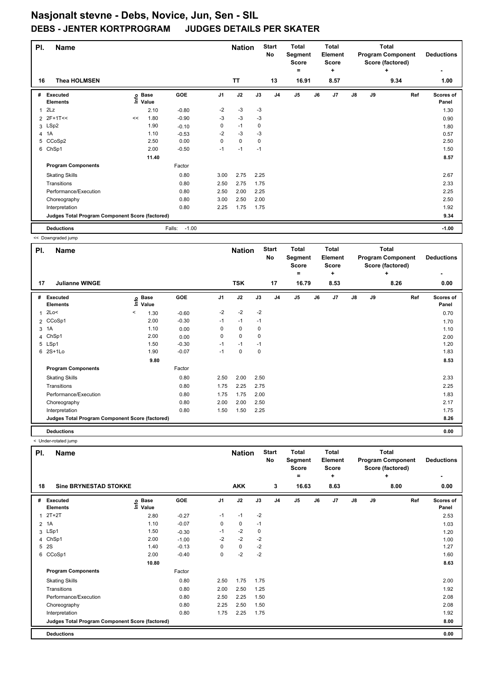| PI. | <b>Name</b>                                     |    |                            |                   |                | <b>Nation</b> |      | <b>Start</b><br>No | <b>Total</b><br>Segment<br><b>Score</b><br>Ξ. |    | <b>Total</b><br>Element<br>Score<br>٠ |               |    | <b>Total</b><br><b>Program Component</b><br>Score (factored)<br>٠ | <b>Deductions</b>  |
|-----|-------------------------------------------------|----|----------------------------|-------------------|----------------|---------------|------|--------------------|-----------------------------------------------|----|---------------------------------------|---------------|----|-------------------------------------------------------------------|--------------------|
| 16  | <b>Thea HOLMSEN</b>                             |    |                            |                   |                | <b>TT</b>     |      | 13                 | 16.91                                         |    | 8.57                                  |               |    | 9.34                                                              | 1.00               |
| #   | Executed<br><b>Elements</b>                     |    | e Base<br>⊆ Value<br>Value | GOE               | J <sub>1</sub> | J2            | J3   | J <sub>4</sub>     | J <sub>5</sub>                                | J6 | J <sub>7</sub>                        | $\mathsf{J}8$ | J9 | Ref                                                               | Scores of<br>Panel |
| 1   | 2Lz                                             |    | 2.10                       | $-0.80$           | $-2$           | $-3$          | -3   |                    |                                               |    |                                       |               |    |                                                                   | 1.30               |
|     | 2 2F+1T<<                                       | << | 1.80                       | $-0.90$           | $-3$           | $-3$          | $-3$ |                    |                                               |    |                                       |               |    |                                                                   | 0.90               |
|     | 3 LSp2                                          |    | 1.90                       | $-0.10$           | 0              | $-1$          | 0    |                    |                                               |    |                                       |               |    |                                                                   | 1.80               |
|     | 4 1A                                            |    | 1.10                       | $-0.53$           | $-2$           | $-3$          | $-3$ |                    |                                               |    |                                       |               |    |                                                                   | 0.57               |
| 5   | CCoSp2                                          |    | 2.50                       | 0.00              | 0              | $\mathbf 0$   | 0    |                    |                                               |    |                                       |               |    |                                                                   | 2.50               |
| 6   | ChSp1                                           |    | 2.00                       | $-0.50$           | $-1$           | $-1$          | $-1$ |                    |                                               |    |                                       |               |    |                                                                   | 1.50               |
|     |                                                 |    | 11.40                      |                   |                |               |      |                    |                                               |    |                                       |               |    |                                                                   | 8.57               |
|     | <b>Program Components</b>                       |    |                            | Factor            |                |               |      |                    |                                               |    |                                       |               |    |                                                                   |                    |
|     | <b>Skating Skills</b>                           |    |                            | 0.80              | 3.00           | 2.75          | 2.25 |                    |                                               |    |                                       |               |    |                                                                   | 2.67               |
|     | Transitions                                     |    |                            | 0.80              | 2.50           | 2.75          | 1.75 |                    |                                               |    |                                       |               |    |                                                                   | 2.33               |
|     | Performance/Execution                           |    |                            | 0.80              | 2.50           | 2.00          | 2.25 |                    |                                               |    |                                       |               |    |                                                                   | 2.25               |
|     | Choreography                                    |    |                            | 0.80              | 3.00           | 2.50          | 2.00 |                    |                                               |    |                                       |               |    |                                                                   | 2.50               |
|     | Interpretation                                  |    |                            | 0.80              | 2.25           | 1.75          | 1.75 |                    |                                               |    |                                       |               |    |                                                                   | 1.92               |
|     | Judges Total Program Component Score (factored) |    |                            |                   |                |               |      |                    |                                               |    |                                       |               |    |                                                                   | 9.34               |
|     | <b>Deductions</b>                               |    |                            | $-1.00$<br>Falls: |                |               |      |                    |                                               |    |                                       |               |    |                                                                   | $-1.00$            |

<< Downgraded jump

|              | - - - - - - <del>-</del> - - - - - - - - - - - - |         |                            |         |                |               |      |                    |                                         |    |                                         |               |    |                                                              |                    |
|--------------|--------------------------------------------------|---------|----------------------------|---------|----------------|---------------|------|--------------------|-----------------------------------------|----|-----------------------------------------|---------------|----|--------------------------------------------------------------|--------------------|
| PI.          | Name                                             |         |                            |         |                | <b>Nation</b> |      | <b>Start</b><br>No | <b>Total</b><br>Segment<br><b>Score</b> |    | <b>Total</b><br>Element<br><b>Score</b> |               |    | <b>Total</b><br><b>Program Component</b><br>Score (factored) | <b>Deductions</b>  |
|              |                                                  |         |                            |         |                |               |      |                    | =                                       |    | ٠                                       |               |    | ٠                                                            |                    |
| 17           | <b>Julianne WINGE</b>                            |         |                            |         |                | <b>TSK</b>    |      | 17                 | 16.79                                   |    | 8.53                                    |               |    | 8.26                                                         | 0.00               |
| #            | Executed<br><b>Elements</b>                      |         | e Base<br>E Value<br>Value | GOE     | J <sub>1</sub> | J2            | J3   | J <sub>4</sub>     | J <sub>5</sub>                          | J6 | J7                                      | $\mathsf{J}8$ | J9 | Ref                                                          | Scores of<br>Panel |
| $\mathbf{1}$ | 2Lo<                                             | $\,<\,$ | 1.30                       | $-0.60$ | $-2$           | $-2$          | $-2$ |                    |                                         |    |                                         |               |    |                                                              | 0.70               |
|              | 2 CCoSp1                                         |         | 2.00                       | $-0.30$ | $-1$           | $-1$          | $-1$ |                    |                                         |    |                                         |               |    |                                                              | 1.70               |
|              | 3 1A                                             |         | 1.10                       | 0.00    | 0              | $\mathbf 0$   | 0    |                    |                                         |    |                                         |               |    |                                                              | 1.10               |
|              | 4 ChSp1                                          |         | 2.00                       | 0.00    | 0              | $\mathbf 0$   | 0    |                    |                                         |    |                                         |               |    |                                                              | 2.00               |
|              | 5 LSp1                                           |         | 1.50                       | $-0.30$ | $-1$           | $-1$          | $-1$ |                    |                                         |    |                                         |               |    |                                                              | 1.20               |
|              | 6 2S+1Lo                                         |         | 1.90                       | $-0.07$ | $-1$           | $\mathbf 0$   | 0    |                    |                                         |    |                                         |               |    |                                                              | 1.83               |
|              |                                                  |         | 9.80                       |         |                |               |      |                    |                                         |    |                                         |               |    |                                                              | 8.53               |
|              | <b>Program Components</b>                        |         |                            | Factor  |                |               |      |                    |                                         |    |                                         |               |    |                                                              |                    |
|              | <b>Skating Skills</b>                            |         |                            | 0.80    | 2.50           | 2.00          | 2.50 |                    |                                         |    |                                         |               |    |                                                              | 2.33               |
|              | Transitions                                      |         |                            | 0.80    | 1.75           | 2.25          | 2.75 |                    |                                         |    |                                         |               |    |                                                              | 2.25               |
|              | Performance/Execution                            |         |                            | 0.80    | 1.75           | 1.75          | 2.00 |                    |                                         |    |                                         |               |    |                                                              | 1.83               |
|              | Choreography                                     |         |                            | 0.80    | 2.00           | 2.00          | 2.50 |                    |                                         |    |                                         |               |    |                                                              | 2.17               |
|              | Interpretation                                   |         |                            | 0.80    | 1.50           | 1.50          | 2.25 |                    |                                         |    |                                         |               |    |                                                              | 1.75               |
|              | Judges Total Program Component Score (factored)  |         |                            |         |                |               |      |                    |                                         |    |                                         |               |    |                                                              | 8.26               |
|              | <b>Deductions</b>                                |         |                            |         |                |               |      |                    |                                         |    |                                         |               |    |                                                              | 0.00               |

| PI. | <b>Name</b>                                     |                   |         |                | <b>Nation</b> |      | <b>Start</b><br>No | Total<br>Segment<br><b>Score</b><br>= |    | Total<br>Element<br><b>Score</b><br>٠ |               |    | <b>Total</b><br><b>Program Component</b><br>Score (factored)<br>÷ | <b>Deductions</b>  |
|-----|-------------------------------------------------|-------------------|---------|----------------|---------------|------|--------------------|---------------------------------------|----|---------------------------------------|---------------|----|-------------------------------------------------------------------|--------------------|
| 18  | <b>Sine BRYNESTAD STOKKE</b>                    |                   |         |                | <b>AKK</b>    |      | 3                  | 16.63                                 |    | 8.63                                  |               |    | 8.00                                                              | 0.00               |
| #   | Executed<br><b>Elements</b>                     | e Base<br>⊑ Value | GOE     | J <sub>1</sub> | J2            | J3   | J <sub>4</sub>     | J <sub>5</sub>                        | J6 | J7                                    | $\mathsf{J}8$ | J9 | Ref                                                               | Scores of<br>Panel |
| 1   | $2T+2T$                                         | 2.80              | $-0.27$ | $-1$           | $-1$          | $-2$ |                    |                                       |    |                                       |               |    |                                                                   | 2.53               |
|     | 2 1A                                            | 1.10              | $-0.07$ | 0              | 0             | $-1$ |                    |                                       |    |                                       |               |    |                                                                   | 1.03               |
|     | 3 LSp1                                          | 1.50              | $-0.30$ | $-1$           | $-2$          | 0    |                    |                                       |    |                                       |               |    |                                                                   | 1.20               |
|     | 4 ChSp1                                         | 2.00              | $-1.00$ | $-2$           | $-2$          | $-2$ |                    |                                       |    |                                       |               |    |                                                                   | 1.00               |
|     | 5 2S                                            | 1.40              | $-0.13$ | 0              | 0             | $-2$ |                    |                                       |    |                                       |               |    |                                                                   | 1.27               |
|     | 6 CCoSp1                                        | 2.00              | $-0.40$ | 0              | $-2$          | $-2$ |                    |                                       |    |                                       |               |    |                                                                   | 1.60               |
|     |                                                 | 10.80             |         |                |               |      |                    |                                       |    |                                       |               |    |                                                                   | 8.63               |
|     | <b>Program Components</b>                       |                   | Factor  |                |               |      |                    |                                       |    |                                       |               |    |                                                                   |                    |
|     | <b>Skating Skills</b>                           |                   | 0.80    | 2.50           | 1.75          | 1.75 |                    |                                       |    |                                       |               |    |                                                                   | 2.00               |
|     | Transitions                                     |                   | 0.80    | 2.00           | 2.50          | 1.25 |                    |                                       |    |                                       |               |    |                                                                   | 1.92               |
|     | Performance/Execution                           |                   | 0.80    | 2.50           | 2.25          | 1.50 |                    |                                       |    |                                       |               |    |                                                                   | 2.08               |
|     | Choreography                                    |                   | 0.80    | 2.25           | 2.50          | 1.50 |                    |                                       |    |                                       |               |    |                                                                   | 2.08               |
|     | Interpretation                                  |                   | 0.80    | 1.75           | 2.25          | 1.75 |                    |                                       |    |                                       |               |    |                                                                   | 1.92               |
|     | Judges Total Program Component Score (factored) |                   |         |                |               |      |                    |                                       |    |                                       |               |    |                                                                   | 8.00               |
|     | <b>Deductions</b>                               |                   |         |                |               |      |                    |                                       |    |                                       |               |    |                                                                   | 0.00               |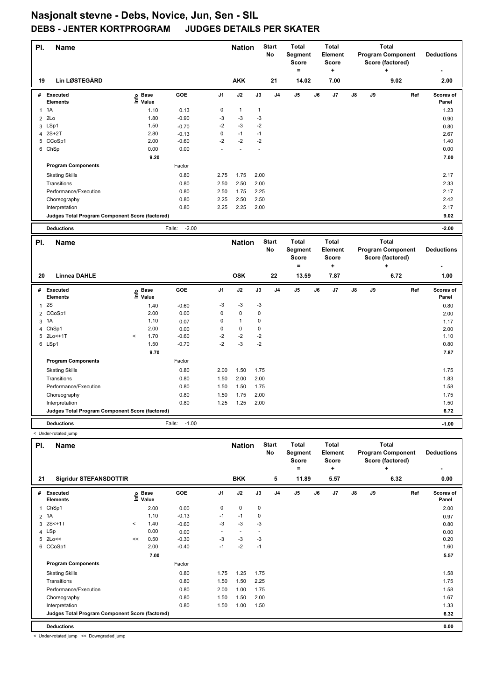| PI.            | Name                                            |       |                   |                   |                | <b>Nation</b>  |                | <b>Start</b><br>No | <b>Total</b><br>Segment<br><b>Score</b><br>$=$ |    | <b>Total</b><br>Element<br><b>Score</b><br>÷ |    |    | <b>Total</b><br><b>Program Component</b><br>Score (factored)<br>٠ |     | <b>Deductions</b>  |
|----------------|-------------------------------------------------|-------|-------------------|-------------------|----------------|----------------|----------------|--------------------|------------------------------------------------|----|----------------------------------------------|----|----|-------------------------------------------------------------------|-----|--------------------|
| 19             | <b>Lin LØSTEGÅRD</b>                            |       |                   |                   |                | <b>AKK</b>     |                | 21                 | 14.02                                          |    | 7.00                                         |    |    | 9.02                                                              |     | 2.00               |
| #              | <b>Executed</b><br><b>Elements</b>              |       | e Base<br>⊆ Value | <b>GOE</b>        | J <sub>1</sub> | J2             | J3             | J <sub>4</sub>     | J5                                             | J6 | J7                                           | J8 | J9 |                                                                   | Ref | Scores of<br>Panel |
| $\mathbf{1}$   | 1A                                              |       | 1.10              | 0.13              | 0              | $\mathbf{1}$   | $\mathbf{1}$   |                    |                                                |    |                                              |    |    |                                                                   |     | 1.23               |
| $\overline{2}$ | 2Lo                                             |       | 1.80              | $-0.90$           | $-3$           | $-3$           | $-3$           |                    |                                                |    |                                              |    |    |                                                                   |     | 0.90               |
| 3              | LSp1                                            |       | 1.50              | $-0.70$           | $-2$           | $-3$           | $-2$           |                    |                                                |    |                                              |    |    |                                                                   |     | 0.80               |
| 4              | $2S+2T$                                         |       | 2.80              | $-0.13$           | 0              | $-1$           | $-1$           |                    |                                                |    |                                              |    |    |                                                                   |     | 2.67               |
| 5              | CCoSp1                                          |       | 2.00              | $-0.60$           | $-2$           | $-2$           | $-2$           |                    |                                                |    |                                              |    |    |                                                                   |     | 1.40               |
|                | 6 ChSp                                          |       | 0.00              | 0.00              | L.             | $\overline{a}$ | $\overline{a}$ |                    |                                                |    |                                              |    |    |                                                                   |     | 0.00               |
|                |                                                 |       | 9.20              |                   |                |                |                |                    |                                                |    |                                              |    |    |                                                                   |     | 7.00               |
|                | <b>Program Components</b>                       |       |                   | Factor            |                |                |                |                    |                                                |    |                                              |    |    |                                                                   |     |                    |
|                | <b>Skating Skills</b>                           |       |                   | 0.80              | 2.75           | 1.75           | 2.00           |                    |                                                |    |                                              |    |    |                                                                   |     | 2.17               |
|                | Transitions                                     |       |                   | 0.80              | 2.50           | 2.50           | 2.00           |                    |                                                |    |                                              |    |    |                                                                   |     | 2.33               |
|                | Performance/Execution                           |       |                   | 0.80              | 2.50           | 1.75           | 2.25           |                    |                                                |    |                                              |    |    |                                                                   |     | 2.17               |
|                | Choreography                                    |       |                   | 0.80              | 2.25           | 2.50           | 2.50           |                    |                                                |    |                                              |    |    |                                                                   |     | 2.42               |
|                | Interpretation                                  |       |                   | 0.80              | 2.25           | 2.25           | 2.00           |                    |                                                |    |                                              |    |    |                                                                   |     | 2.17               |
|                | Judges Total Program Component Score (factored) |       |                   |                   |                |                |                |                    |                                                |    |                                              |    |    |                                                                   |     | 9.02               |
|                | <b>Deductions</b>                               |       |                   | $-2.00$<br>Falls: |                |                |                |                    |                                                |    |                                              |    |    |                                                                   |     | $-2.00$            |
|                |                                                 |       |                   |                   |                |                |                |                    |                                                |    |                                              |    |    |                                                                   |     |                    |
|                |                                                 |       |                   |                   |                |                |                |                    |                                                |    |                                              |    |    |                                                                   |     |                    |
| PI.            | <b>Name</b>                                     |       |                   |                   |                | <b>Nation</b>  |                | <b>Start</b>       | <b>Total</b>                                   |    | <b>Total</b>                                 |    |    | <b>Total</b>                                                      |     |                    |
|                |                                                 |       |                   |                   |                |                |                | No                 | Segment                                        |    | Element                                      |    |    | <b>Program Component</b>                                          |     | <b>Deductions</b>  |
|                |                                                 |       |                   |                   |                |                |                |                    | <b>Score</b><br>$\qquad \qquad =$              |    | <b>Score</b><br>÷                            |    |    | Score (factored)<br>$\ddot{}$                                     |     |                    |
|                |                                                 |       |                   |                   |                |                |                |                    |                                                |    |                                              |    |    |                                                                   |     |                    |
| 20             | <b>Linnea DAHLE</b>                             |       |                   |                   |                | <b>OSK</b>     |                | 22                 | 13.59                                          |    | 7.87                                         |    |    | 6.72                                                              |     | 1.00               |
|                | # Executed                                      |       | <b>Base</b>       | <b>GOE</b>        | J <sub>1</sub> | J2             | J3             | J <sub>4</sub>     | J5                                             | J6 | J7                                           | J8 | J9 |                                                                   | Ref | Scores of          |
|                | <b>Elements</b>                                 | e     | Value             |                   |                |                |                |                    |                                                |    |                                              |    |    |                                                                   |     | Panel              |
| $\mathbf{1}$   | 2S                                              |       | 1.40              | $-0.60$           | $-3$           | $-3$           | $-3$           |                    |                                                |    |                                              |    |    |                                                                   |     | 0.80               |
| $\overline{2}$ | CCoSp1                                          |       | 2.00              | 0.00              | $\pmb{0}$      | $\pmb{0}$      | $\pmb{0}$      |                    |                                                |    |                                              |    |    |                                                                   |     | 2.00               |
| 3              | 1A                                              |       | 1.10              | 0.07              | 0              | $\mathbf{1}$   | 0              |                    |                                                |    |                                              |    |    |                                                                   |     | 1.17               |
| 4              | ChSp1                                           |       | 2.00              | 0.00              | 0              | $\pmb{0}$      | 0              |                    |                                                |    |                                              |    |    |                                                                   |     | 2.00               |
|                | 5 2Lo<+1T                                       | $\,<$ | 1.70              | $-0.60$           | $-2$           | $-2$           | $-2$           |                    |                                                |    |                                              |    |    |                                                                   |     | 1.10               |
|                | 6 LSp1                                          |       | 1.50              | $-0.70$           | $-2$           | $-3$           | $-2$           |                    |                                                |    |                                              |    |    |                                                                   |     | 0.80               |
|                |                                                 |       | 9.70              |                   |                |                |                |                    |                                                |    |                                              |    |    |                                                                   |     | 7.87               |
|                | <b>Program Components</b>                       |       |                   | Factor            |                |                |                |                    |                                                |    |                                              |    |    |                                                                   |     |                    |
|                | <b>Skating Skills</b>                           |       |                   | 0.80              | 2.00           | 1.50           | 1.75           |                    |                                                |    |                                              |    |    |                                                                   |     | 1.75               |
|                | Transitions                                     |       |                   | 0.80              | 1.50           | 2.00           | 2.00           |                    |                                                |    |                                              |    |    |                                                                   |     | 1.83               |
|                | Performance/Execution                           |       |                   | 0.80              | 1.50           | 1.50           | 1.75           |                    |                                                |    |                                              |    |    |                                                                   |     | 1.58               |
|                | Choreography                                    |       |                   | 0.80              | 1.50           | 1.75           | 2.00           |                    |                                                |    |                                              |    |    |                                                                   |     | 1.75               |
|                | Interpretation                                  |       |                   | 0.80              | 1.25           | 1.25           | 2.00           |                    |                                                |    |                                              |    |    |                                                                   |     | 1.50               |
|                | Judges Total Program Component Score (factored) |       |                   |                   |                |                |                |                    |                                                |    |                                              |    |    |                                                                   |     | 6.72               |

< Under-rotated jump

| PI. | <b>Name</b>                                     |         |                            |         |                | <b>Nation</b>            |             | <b>Start</b><br><b>No</b> | <b>Total</b><br>Segment<br><b>Score</b><br>= |    | <b>Total</b><br>Element<br><b>Score</b><br>٠ |               |    | <b>Total</b><br><b>Program Component</b><br>Score (factored)<br>٠ | <b>Deductions</b>  |
|-----|-------------------------------------------------|---------|----------------------------|---------|----------------|--------------------------|-------------|---------------------------|----------------------------------------------|----|----------------------------------------------|---------------|----|-------------------------------------------------------------------|--------------------|
| 21  | <b>Sigridur STEFANSDOTTIR</b>                   |         |                            |         |                | <b>BKK</b>               |             | 5                         | 11.89                                        |    | 5.57                                         |               |    | 6.32                                                              | 0.00               |
| #   | <b>Executed</b><br><b>Elements</b>              |         | e Base<br>⊆ Value<br>Value | GOE     | J <sub>1</sub> | J2                       | J3          | J <sub>4</sub>            | J <sub>5</sub>                               | J6 | J7                                           | $\mathsf{J}8$ | J9 | Ref                                                               | Scores of<br>Panel |
| 1   | ChSp1                                           |         | 2.00                       | 0.00    | 0              | $\mathbf 0$              | $\mathbf 0$ |                           |                                              |    |                                              |               |    |                                                                   | 2.00               |
|     | 2 1A                                            |         | 1.10                       | $-0.13$ | $-1$           | $-1$                     | 0           |                           |                                              |    |                                              |               |    |                                                                   | 0.97               |
| 3   | 2S<+1T                                          | $\prec$ | 1.40                       | $-0.60$ | $-3$           | $-3$                     | $-3$        |                           |                                              |    |                                              |               |    |                                                                   | 0.80               |
|     | 4 LSp                                           |         | 0.00                       | 0.00    | ٠              | $\overline{\phantom{a}}$ |             |                           |                                              |    |                                              |               |    |                                                                   | 0.00               |
| 5   | 2Lo<<                                           | <<      | 0.50                       | $-0.30$ | $-3$           | $-3$                     | $-3$        |                           |                                              |    |                                              |               |    |                                                                   | 0.20               |
|     | 6 CCoSp1                                        |         | 2.00                       | $-0.40$ | $-1$           | $-2$                     | $-1$        |                           |                                              |    |                                              |               |    |                                                                   | 1.60               |
|     |                                                 |         | 7.00                       |         |                |                          |             |                           |                                              |    |                                              |               |    |                                                                   | 5.57               |
|     | <b>Program Components</b>                       |         |                            | Factor  |                |                          |             |                           |                                              |    |                                              |               |    |                                                                   |                    |
|     | <b>Skating Skills</b>                           |         |                            | 0.80    | 1.75           | 1.25                     | 1.75        |                           |                                              |    |                                              |               |    |                                                                   | 1.58               |
|     | Transitions                                     |         |                            | 0.80    | 1.50           | 1.50                     | 2.25        |                           |                                              |    |                                              |               |    |                                                                   | 1.75               |
|     | Performance/Execution                           |         |                            | 0.80    | 2.00           | 1.00                     | 1.75        |                           |                                              |    |                                              |               |    |                                                                   | 1.58               |
|     | Choreography                                    |         |                            | 0.80    | 1.50           | 1.50                     | 2.00        |                           |                                              |    |                                              |               |    |                                                                   | 1.67               |
|     | Interpretation                                  |         |                            | 0.80    | 1.50           | 1.00                     | 1.50        |                           |                                              |    |                                              |               |    |                                                                   | 1.33               |
|     | Judges Total Program Component Score (factored) |         |                            |         |                |                          |             |                           |                                              |    |                                              |               |    |                                                                   | 6.32               |
|     | <b>Deductions</b>                               |         |                            |         |                |                          |             |                           |                                              |    |                                              |               |    |                                                                   | 0.00               |

< Under-rotated jump << Downgraded jump